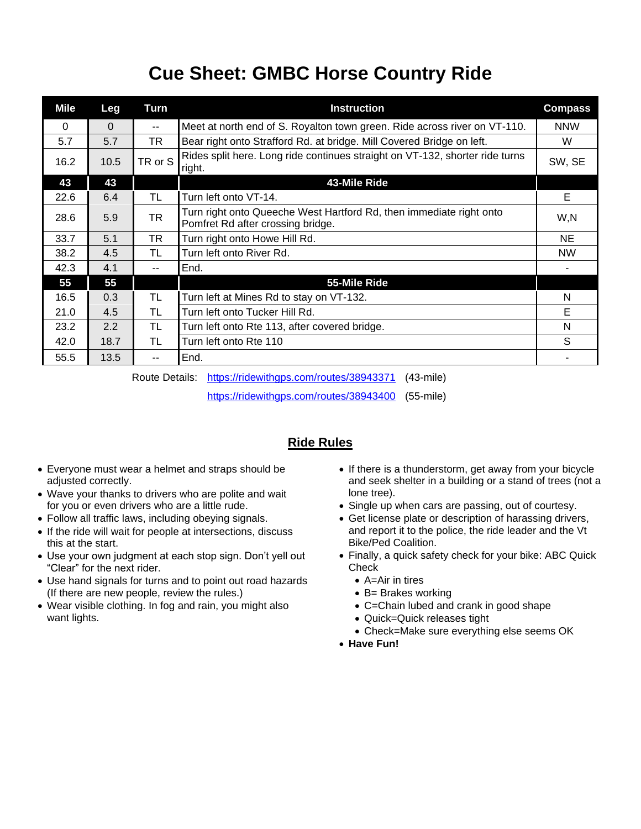## **Cue Sheet: GMBC Horse Country Ride**

| Mile     | Leg      | Turn                     | <b>Instruction</b>                                                                                       | <b>Compass</b> |
|----------|----------|--------------------------|----------------------------------------------------------------------------------------------------------|----------------|
| $\Omega$ | $\Omega$ | $\overline{\phantom{a}}$ | Meet at north end of S. Royalton town green. Ride across river on VT-110.                                | <b>NNW</b>     |
| 5.7      | 5.7      | TR                       | Bear right onto Strafford Rd. at bridge. Mill Covered Bridge on left.                                    | W              |
| 16.2     | 10.5     | TR or S                  | Rides split here. Long ride continues straight on VT-132, shorter ride turns<br>right.                   | SW, SE         |
| 43       | 43       |                          | 43-Mile Ride                                                                                             |                |
| 22.6     | 6.4      | TL                       | Turn left onto VT-14.                                                                                    | Е              |
| 28.6     | 5.9      | TR                       | Turn right onto Queeche West Hartford Rd, then immediate right onto<br>Pomfret Rd after crossing bridge. | W,N            |
| 33.7     | 5.1      | TR                       | Turn right onto Howe Hill Rd.                                                                            | <b>NE</b>      |
| 38.2     | 4.5      | TL                       | Turn left onto River Rd.                                                                                 | <b>NW</b>      |
| 42.3     | 4.1      | --                       | End.                                                                                                     |                |
| 55       | 55       |                          | 55-Mile Ride                                                                                             |                |
| 16.5     | 0.3      | TL                       | Turn left at Mines Rd to stay on VT-132.                                                                 | N              |
| 21.0     | 4.5      | TL                       | Turn left onto Tucker Hill Rd.                                                                           | E              |
| 23.2     | 2.2      | TL                       | Turn left onto Rte 113, after covered bridge.                                                            | N              |
| 42.0     | 18.7     | TL                       | Turn left onto Rte 110                                                                                   | S              |
| 55.5     | 13.5     | --                       | End.                                                                                                     |                |

Route Details: <https://ridewithgps.com/routes/38943371> (43-mile)

<https://ridewithgps.com/routes/38943400> (55-mile)

## **Ride Rules**

- Everyone must wear a helmet and straps should be adjusted correctly.
- Wave your thanks to drivers who are polite and wait for you or even drivers who are a little rude.
- Follow all traffic laws, including obeying signals.
- If the ride will wait for people at intersections, discuss this at the start.
- Use your own judgment at each stop sign. Don't yell out "Clear" for the next rider.
- Use hand signals for turns and to point out road hazards (If there are new people, review the rules.)
- Wear visible clothing. In fog and rain, you might also want lights.
- If there is a thunderstorm, get away from your bicycle and seek shelter in a building or a stand of trees (not a lone tree).
- Single up when cars are passing, out of courtesy.
- Get license plate or description of harassing drivers, and report it to the police, the ride leader and the Vt Bike/Ped Coalition.
- Finally, a quick safety check for your bike: ABC Quick Check
	- A=Air in tires
	- B= Brakes working
	- C=Chain lubed and crank in good shape
	- Quick=Quick releases tight
	- Check=Make sure everything else seems OK
- **Have Fun!**